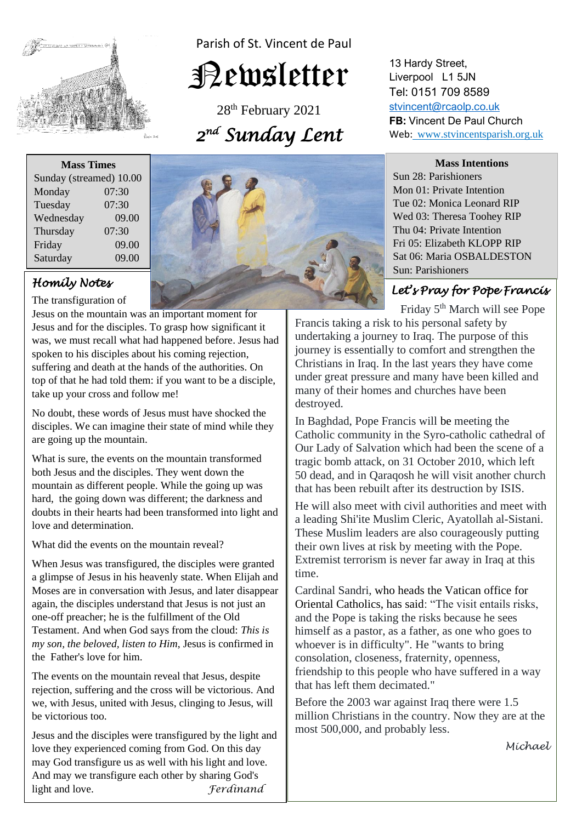

Parish of St. Vincent de Paul

# Newsletter

28<sup>th</sup> February 2021 *2 nd Sunday Lent* 

**Mass Times**

| Sunday (streamed) 10.00 |       |
|-------------------------|-------|
| Monday                  | 07:30 |
| Tuesday                 | 07:30 |
| Wednesday               | 09.00 |
| Thursday                | 07:30 |
| Friday                  | 09.00 |
| Saturday                | 09.00 |

## *Homily Notes*

The transfiguration of

Jesus on the mountain was an important moment for was, we must recall what had happened before. Jesus had suffering and death at the hands of the authorities. On<br>top of that he had told them: if you want to be a disciple, Jesus and for the disciples. To grasp how significant it spoken to his disciples about his coming rejection, suffering and death at the hands of the authorities. On take up your cross and follow me!

and up your cross and ronow me:<br>No doubt, these words of Jesus must have shocked the disciples. We can imagine their state of mind while they are going up the mountain. are going up the mountain.

What is sure, the events on the mountain transformed<br>hoth Josue and the discribes. They went down the mountain as different people. While the going up was<br>hard, the going down was different; the darkness and doubts in their hearts had been transformed into light and love and determination. both Jesus and the disciples. They went down the mountain as different people. While the going up was love and determination.

What did the events on the mountain reveal?

a glimpse of Jesus in his heavenly state. When Elijah and Moses are in conversation with Jesus, and later disappear again, the disciples understand that Jesus is not ju<br>one-off preacher; he is the fulfillment of the Old  *my son, the beloved, listen to Him*, Jesus is confirmed in When Jesus was transfigured, the disciples were granted Moses are in conversation with Jesus, and later disappear again, the disciples understand that Jesus is not just an Testament. And when God says from the cloud: *This is*  the Father's love for him.

 The events on the mountain reveal that Jesus, despite  we, with Jesus, united with Jesus, clinging to Jesus, will rejection, suffering and the cross will be victorious. And be victorious too.

Jesus and the disciples were transfigured by the light and love they experienced coming from God. On this day may God transfigure us as well with his light and love. And may we transfigure each other by sharing God's light and love. *Ferdinand*



13 Hardy Street, Liverpool L1 5JN Tel: 0151 709 8589 [stvincent@rcaolp.co.uk](mailto:stvincent@rcaolp.co.uk) **FB:** Vincent De Paul Church Web: www.stvincentsparish.org.uk

### **Mass Intentions**

Sun 28: Parishioners Mon 01: Private Intention Tue 02: Monica Leonard RIP Wed 03: Theresa Toohey RIP Thu 04: Private Intention Fri 05: Elizabeth KLOPP RIP Sat 06: Maria OSBALDESTON Sun: Parishioners

### *Let's Pray for Pope Francis*

Friday 5th March will see Pope

Francis taking a risk to his personal safety by undertaking a journey to Iraq. The purpose of this journey is essentially to comfort and strengthen the Christians in Iraq. In the last years they have come under great pressure and many have been killed and many of their homes and churches have been destroyed.

In Baghdad, Pope Francis will be meeting the Catholic community in the Syro-catholic cathedral of Our Lady of Salvation which had been the scene of a tragic bomb attack, on 31 October 2010, which left 50 dead, and in Qaraqosh he will visit another church that has been rebuilt after its destruction by ISIS.

He will also meet with civil authorities and meet with a leading Shi'ite Muslim Cleric, Ayatollah al-Sistani. These Muslim leaders are also courageously putting their own lives at risk by meeting with the Pope. Extremist terrorism is never far away in Iraq at this time.

Cardinal Sandri, who heads the Vatican office for Oriental Catholics, has said: "The visit entails risks, and the Pope is taking the risks because he sees himself as a pastor, as a father, as one who goes to whoever is in difficulty". He "wants to bring consolation, closeness, fraternity, openness, friendship to this people who have suffered in a way that has left them decimated."

Before the 2003 war against Iraq there were 1.5 million Christians in the country. Now they are at the most 500,000, and probably less.

*Michael*